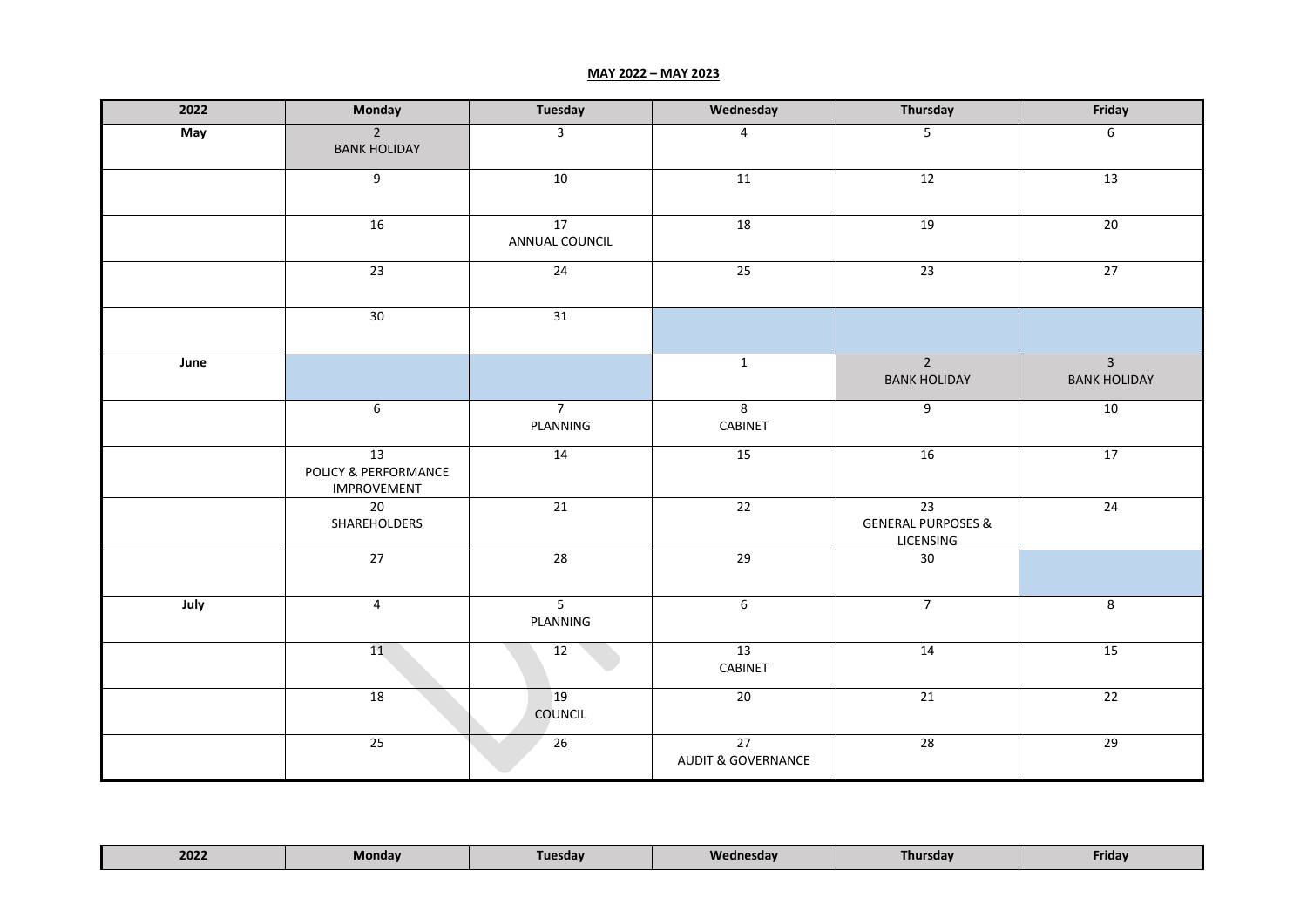## **MAY 2022 – MAY 2023**

| 2022 | Monday                                           | <b>Tuesday</b>             | Wednesday                                        | Thursday                                         | Friday                                |
|------|--------------------------------------------------|----------------------------|--------------------------------------------------|--------------------------------------------------|---------------------------------------|
| May  | $\overline{2}$<br><b>BANK HOLIDAY</b>            | $\overline{\mathbf{3}}$    | $\overline{4}$                                   | $\overline{5}$                                   | 6                                     |
|      | $\overline{9}$                                   | 10                         | 11                                               | 12                                               | 13                                    |
|      | 16                                               | 17<br>ANNUAL COUNCIL       | 18                                               | 19                                               | 20                                    |
|      | 23                                               | 24                         | 25                                               | 23                                               | 27                                    |
|      | 30                                               | 31                         |                                                  |                                                  |                                       |
| June |                                                  |                            | $\mathbf{1}$                                     | $2^{\circ}$<br><b>BANK HOLIDAY</b>               | $\overline{3}$<br><b>BANK HOLIDAY</b> |
|      | $\boldsymbol{6}$                                 | 7 <sup>7</sup><br>PLANNING | $\bf 8$<br>CABINET                               | 9                                                | 10                                    |
|      | 13<br>POLICY & PERFORMANCE<br><b>IMPROVEMENT</b> | 14                         | 15                                               | 16                                               | 17                                    |
|      | 20<br>SHAREHOLDERS                               | 21                         | 22                                               | 23<br><b>GENERAL PURPOSES &amp;</b><br>LICENSING | $\overline{24}$                       |
|      | 27                                               | $\overline{28}$            | $\overline{29}$                                  | 30                                               |                                       |
| July | $\overline{4}$                                   | $\overline{5}$<br>PLANNING | $\boldsymbol{6}$                                 | $\overline{7}$                                   | 8                                     |
|      | 11                                               | 12                         | 13<br>CABINET                                    | 14                                               | 15                                    |
|      | 18                                               | 19<br><b>COUNCIL</b>       | 20                                               | 21                                               | 22                                    |
|      | $\overline{25}$                                  | 26                         | $\overline{27}$<br><b>AUDIT &amp; GOVERNANCE</b> | 28                                               | 29                                    |

| 2022 | Tuesdav | Wednesday | Thursdav | Friday |
|------|---------|-----------|----------|--------|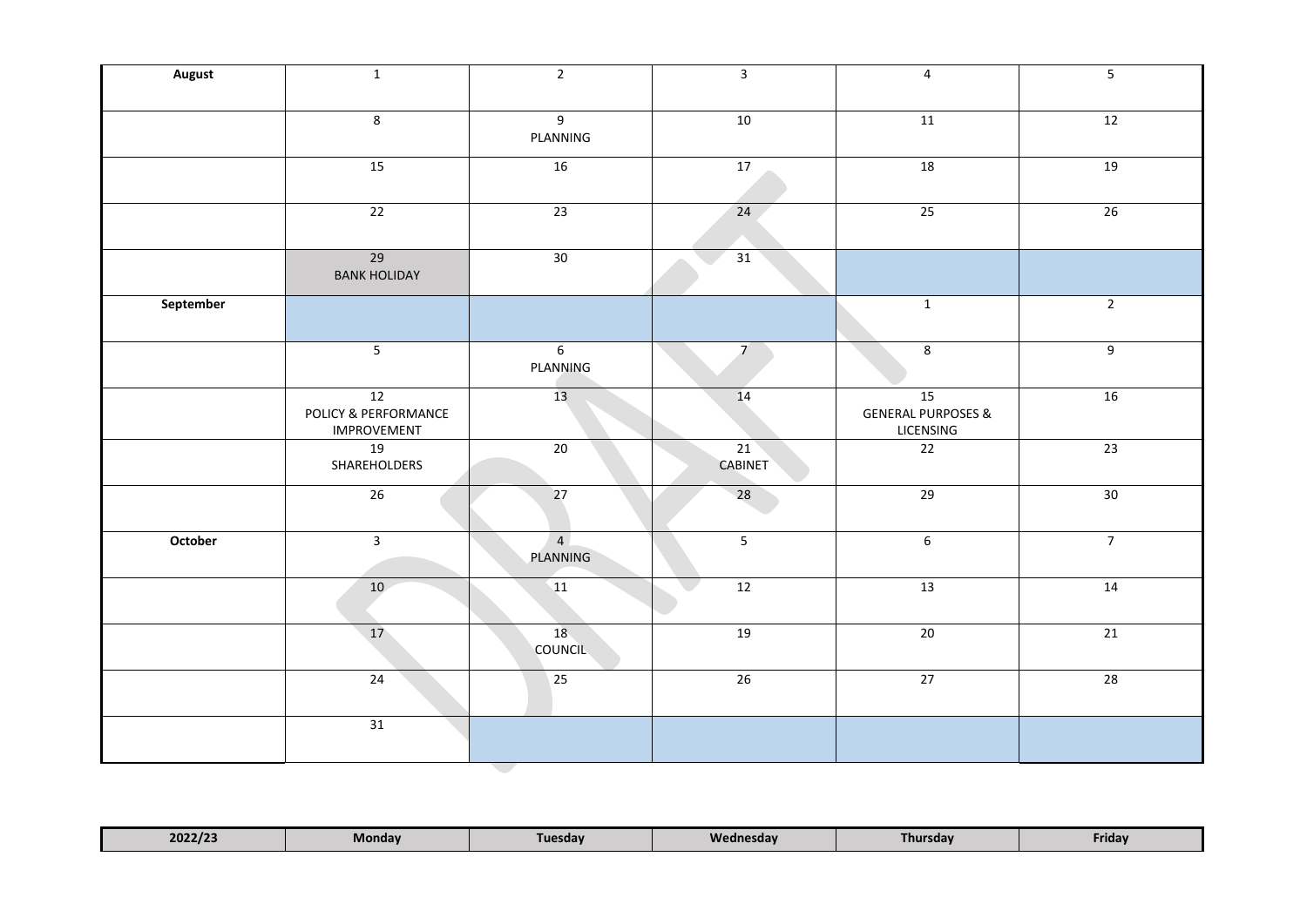| <b>August</b> | $\mathbf{1}$                                     | $\overline{2}$             | $\overline{3}$       | $\overline{4}$                                   | $5\phantom{a}$ |
|---------------|--------------------------------------------------|----------------------------|----------------------|--------------------------------------------------|----------------|
|               | 8                                                | 9<br>PLANNING              | 10                   | 11                                               | 12             |
|               | 15                                               | 16                         | 17                   | 18                                               | 19             |
|               | $\overline{22}$                                  | $\overline{23}$            | 24                   | $\overline{25}$                                  | 26             |
|               | 29<br><b>BANK HOLIDAY</b>                        | 30                         | 31                   |                                                  |                |
| September     |                                                  |                            |                      | $\overline{1}$                                   | $\overline{2}$ |
|               | $\overline{5}$                                   | $\sqrt{6}$<br>PLANNING     | $\overline{7}$       | $\bf 8$                                          | $9\,$          |
|               | 12<br>POLICY & PERFORMANCE<br><b>IMPROVEMENT</b> | 13                         | 14                   | 15<br><b>GENERAL PURPOSES &amp;</b><br>LICENSING | 16             |
|               | 19<br>SHAREHOLDERS                               | $\overline{20}$            | 21<br><b>CABINET</b> | $\overline{22}$                                  | 23             |
|               | 26                                               | 27                         | 28                   | $\overline{29}$                                  | 30             |
| October       | $\overline{3}$                                   | $\overline{4}$<br>PLANNING | 5                    | $\,6\,$                                          | $\overline{7}$ |
|               | 10                                               | 11                         | 12                   | 13                                               | 14             |
|               | 17 <sup>°</sup>                                  | 18<br><b>COUNCIL</b>       | 19                   | $20\,$                                           | 21             |
|               | 24                                               | $\overline{25}$            | 26                   | $\overline{27}$                                  | 28             |
|               | 31                                               |                            |                      |                                                  |                |
|               |                                                  | <b>Contract</b>            |                      |                                                  |                |

| 2022/23<br>Wednesdav<br>Mondav<br>Thursdav<br><b>Tuesdav</b><br>Friday |
|------------------------------------------------------------------------|
|------------------------------------------------------------------------|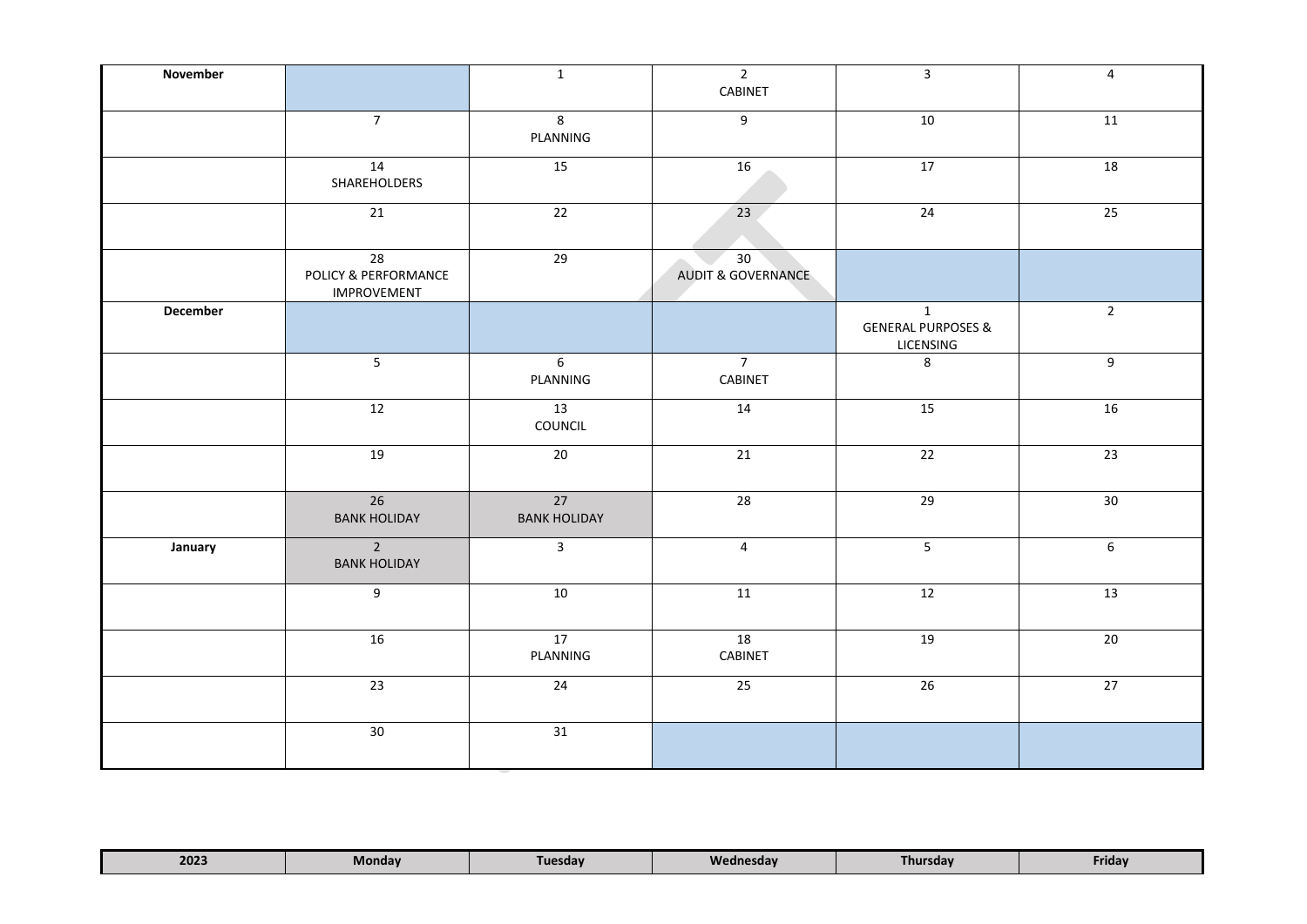| November |                                                               | $\mathbf{1}$               | $\overline{2}$<br>CABINET           | $\overline{\mathbf{3}}$                                    | $\overline{4}$  |
|----------|---------------------------------------------------------------|----------------------------|-------------------------------------|------------------------------------------------------------|-----------------|
|          | $\overline{7}$                                                | $8\phantom{1}$<br>PLANNING | 9                                   | 10                                                         | 11              |
|          | 14<br>SHAREHOLDERS                                            | 15                         | 16                                  | 17                                                         | $\overline{18}$ |
|          | $\overline{21}$                                               | $\overline{22}$            | 23                                  | 24                                                         | $\overline{25}$ |
|          | $\overline{28}$<br>POLICY & PERFORMANCE<br><b>IMPROVEMENT</b> | $\overline{29}$            | 30<br><b>AUDIT &amp; GOVERNANCE</b> |                                                            |                 |
| December |                                                               |                            |                                     | $\mathbf{1}$<br><b>GENERAL PURPOSES &amp;</b><br>LICENSING | $\overline{2}$  |
|          | $\overline{5}$                                                | 6<br>PLANNING              | $\overline{7}$<br>CABINET           | 8                                                          | 9               |
|          | 12                                                            | 13<br>COUNCIL              | 14                                  | 15                                                         | 16              |
|          | 19                                                            | 20                         | 21                                  | 22                                                         | 23              |
|          | 26<br><b>BANK HOLIDAY</b>                                     | 27<br><b>BANK HOLIDAY</b>  | 28                                  | 29                                                         | 30              |
| January  | $\overline{2}$<br><b>BANK HOLIDAY</b>                         | $\overline{3}$             | $\overline{4}$                      | 5                                                          | 6               |
|          | 9                                                             | 10                         | 11                                  | 12                                                         | 13              |
|          | 16                                                            | 17<br>PLANNING             | 18<br>CABINET                       | 19                                                         | 20              |
|          | 23                                                            | 24                         | 25                                  | 26                                                         | $\overline{27}$ |
|          | 30                                                            | 31                         |                                     |                                                            |                 |

| 2023 | Mondav<br>____ | Tuesday | Wednesday<br>_____ | <b>rhursday</b> | Friday |  |
|------|----------------|---------|--------------------|-----------------|--------|--|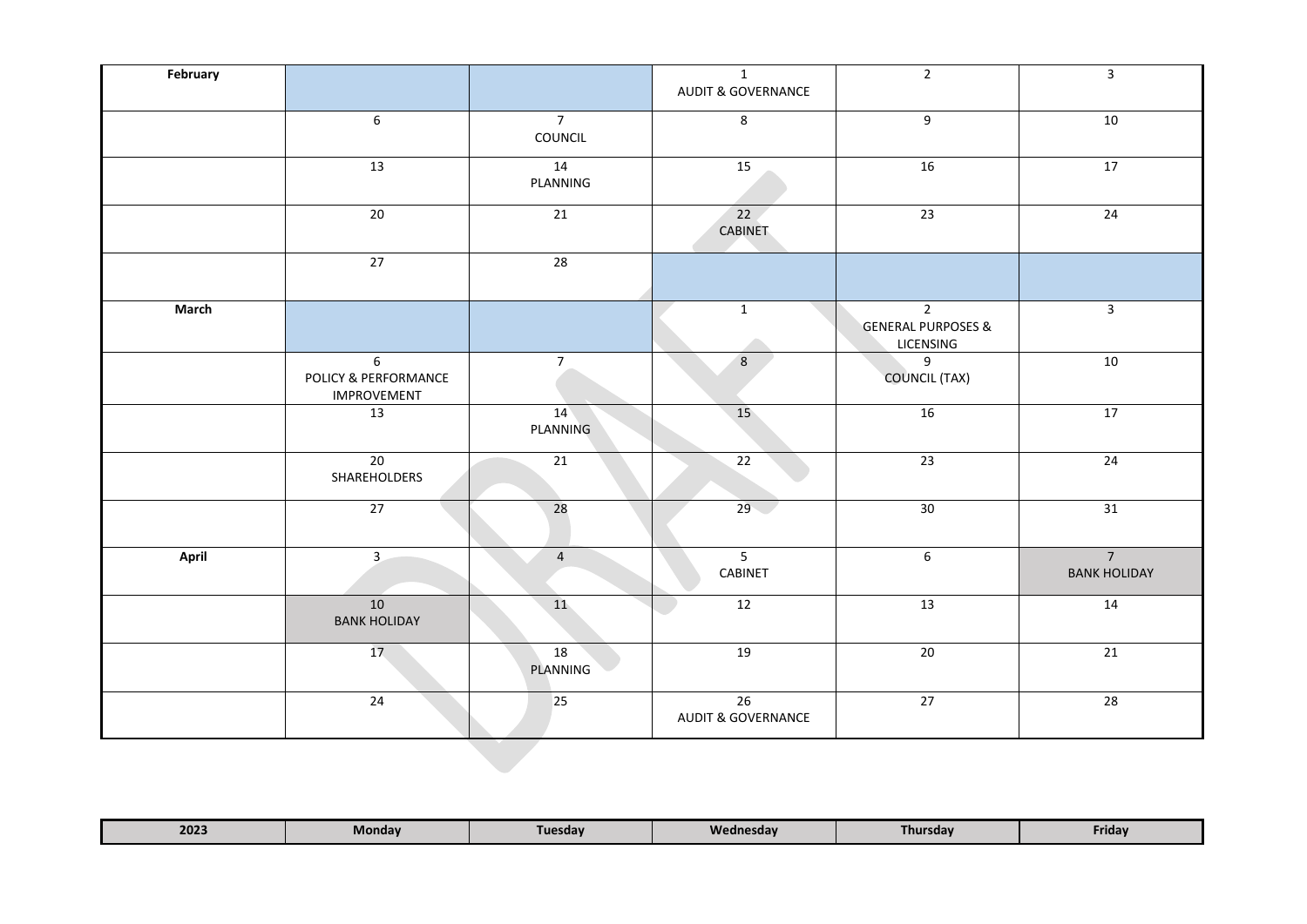| February |                                                 |                           | $\mathbf{1}$<br><b>AUDIT &amp; GOVERNANCE</b> | $\overline{2}$                                               | $\mathbf{3}$                          |
|----------|-------------------------------------------------|---------------------------|-----------------------------------------------|--------------------------------------------------------------|---------------------------------------|
|          | $\sqrt{6}$                                      | $\overline{7}$<br>COUNCIL | 8                                             | $9\,$                                                        | 10                                    |
|          | 13                                              | 14<br>PLANNING            | 15                                            | 16                                                           | 17                                    |
|          | $20\,$                                          | $\overline{21}$           | $\overline{22}$<br><b>CABINET</b>             | $23\,$                                                       | 24                                    |
|          | $\overline{27}$                                 | 28                        |                                               |                                                              |                                       |
| March    |                                                 |                           | $\mathbf{1}$                                  | $\overline{2}$<br><b>GENERAL PURPOSES &amp;</b><br>LICENSING | $\mathbf{3}$                          |
|          | 6<br>POLICY & PERFORMANCE<br><b>IMPROVEMENT</b> | $\overline{7}$            | $8\phantom{.}$                                | 9<br><b>COUNCIL (TAX)</b>                                    | $10\,$                                |
|          | 13                                              | 14<br><b>PLANNING</b>     | 15                                            | 16                                                           | 17                                    |
|          | 20<br>SHAREHOLDERS                              | $\overline{21}$           | 22                                            | $\overline{23}$                                              | 24                                    |
|          | 27                                              | 28                        | 29                                            | 30                                                           | 31                                    |
| April    | $\overline{3}$                                  | $\overline{4}$            | $5\phantom{a}$<br>CABINET                     | $\boldsymbol{6}$                                             | $\overline{7}$<br><b>BANK HOLIDAY</b> |
|          | 10<br><b>BANK HOLIDAY</b>                       | 11                        | 12                                            | 13                                                           | 14                                    |
|          | 17 <sup>2</sup>                                 | 18<br>PLANNING            | 19                                            | $20\,$                                                       | 21                                    |
|          | 24                                              | $\overline{25}$           | 26<br><b>AUDIT &amp; GOVERNANCE</b>           | 27                                                           | 28                                    |
|          |                                                 |                           |                                               |                                                              |                                       |

| 2023 | Monday | Tuesdav | Wednesdav | <b>Thursday</b> | Friday |
|------|--------|---------|-----------|-----------------|--------|
|------|--------|---------|-----------|-----------------|--------|